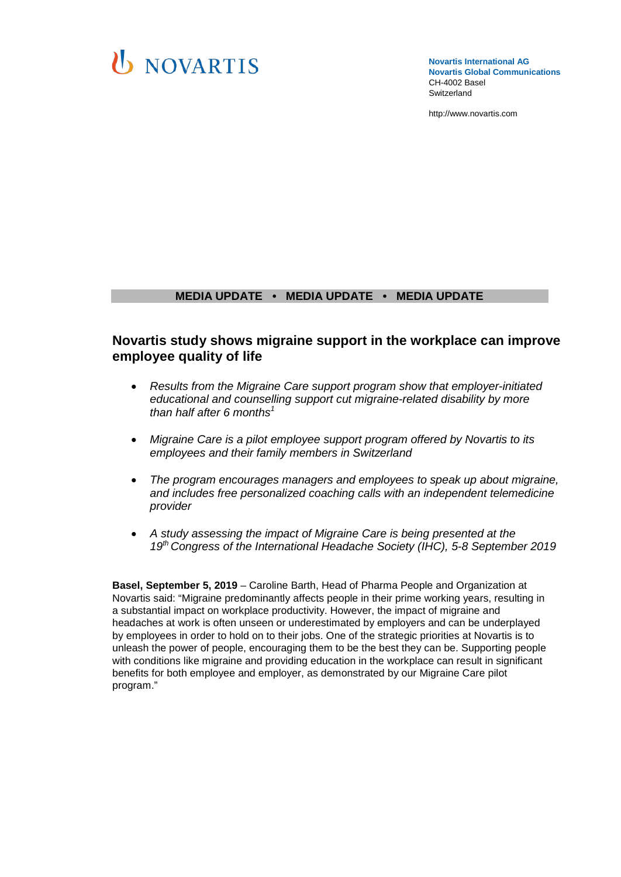

**Novartis International AG Novartis Global Communications**  CH-4002 Basel Switzerland

[http://www.novartis.com](http://www.novartis.com/)

# **MEDIA UPDATE • MEDIA UPDATE • MEDIA UPDATE**

# **Novartis study shows migraine support in the workplace can improve employee quality of life**

- *Results from the Migraine Care support program show that employer-initiated educational and counselling support cut migraine-related disability by more than half after 6 months1*
- *Migraine Care is a pilot employee support program offered by Novartis to its employees and their family members in Switzerland*
- *The program encourages managers and employees to speak up about migraine, and includes free personalized coaching calls with an independent telemedicine provider*
- *A study assessing the impact of Migraine Care is being presented at the 19th Congress of the International Headache Society (IHC), 5-8 September 2019*

**Basel, September 5, 2019** – Caroline Barth, Head of Pharma People and Organization at Novartis said: "Migraine predominantly affects people in their prime working years, resulting in a substantial impact on workplace productivity. However, the impact of migraine and headaches at work is often unseen or underestimated by employers and can be underplayed by employees in order to hold on to their jobs. One of the strategic priorities at Novartis is to unleash the power of people, encouraging them to be the best they can be. Supporting people with conditions like migraine and providing education in the workplace can result in significant benefits for both employee and employer, as demonstrated by our Migraine Care pilot program."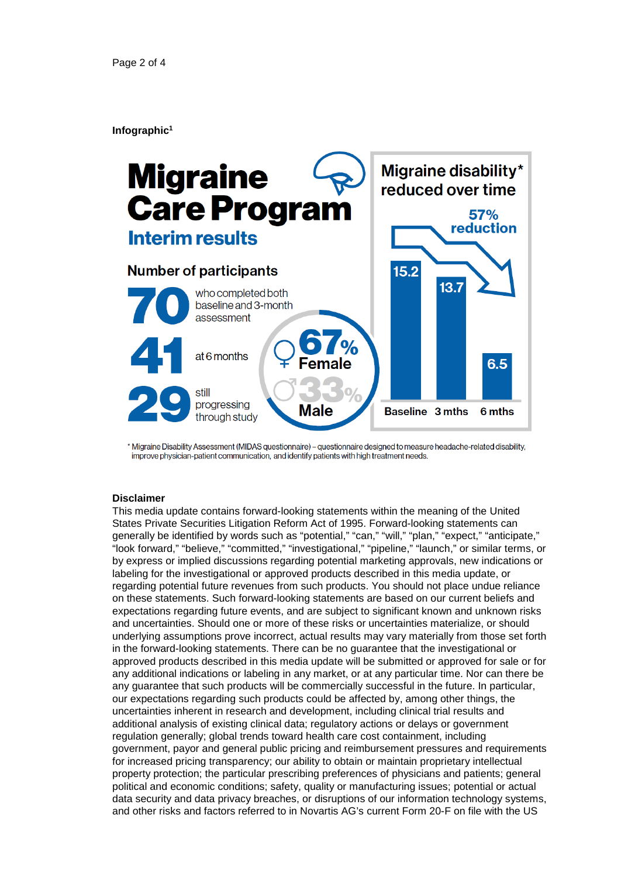## **Infographic1**



\* Migraine Disability Assessment (MIDAS questionnaire) - questionnaire designed to measure headache-related disability, improve physician-patient communication, and identify patients with high treatment needs.

## **Disclaimer**

This media update contains forward-looking statements within the meaning of the United States Private Securities Litigation Reform Act of 1995. Forward-looking statements can generally be identified by words such as "potential," "can," "will," "plan," "expect," "anticipate," "look forward," "believe," "committed," "investigational," "pipeline," "launch," or similar terms, or by express or implied discussions regarding potential marketing approvals, new indications or labeling for the investigational or approved products described in this media update, or regarding potential future revenues from such products. You should not place undue reliance on these statements. Such forward-looking statements are based on our current beliefs and expectations regarding future events, and are subject to significant known and unknown risks and uncertainties. Should one or more of these risks or uncertainties materialize, or should underlying assumptions prove incorrect, actual results may vary materially from those set forth in the forward-looking statements. There can be no guarantee that the investigational or approved products described in this media update will be submitted or approved for sale or for any additional indications or labeling in any market, or at any particular time. Nor can there be any guarantee that such products will be commercially successful in the future. In particular, our expectations regarding such products could be affected by, among other things, the uncertainties inherent in research and development, including clinical trial results and additional analysis of existing clinical data; regulatory actions or delays or government regulation generally; global trends toward health care cost containment, including government, payor and general public pricing and reimbursement pressures and requirements for increased pricing transparency; our ability to obtain or maintain proprietary intellectual property protection; the particular prescribing preferences of physicians and patients; general political and economic conditions; safety, quality or manufacturing issues; potential or actual data security and data privacy breaches, or disruptions of our information technology systems, and other risks and factors referred to in Novartis AG's current Form 20-F on file with the US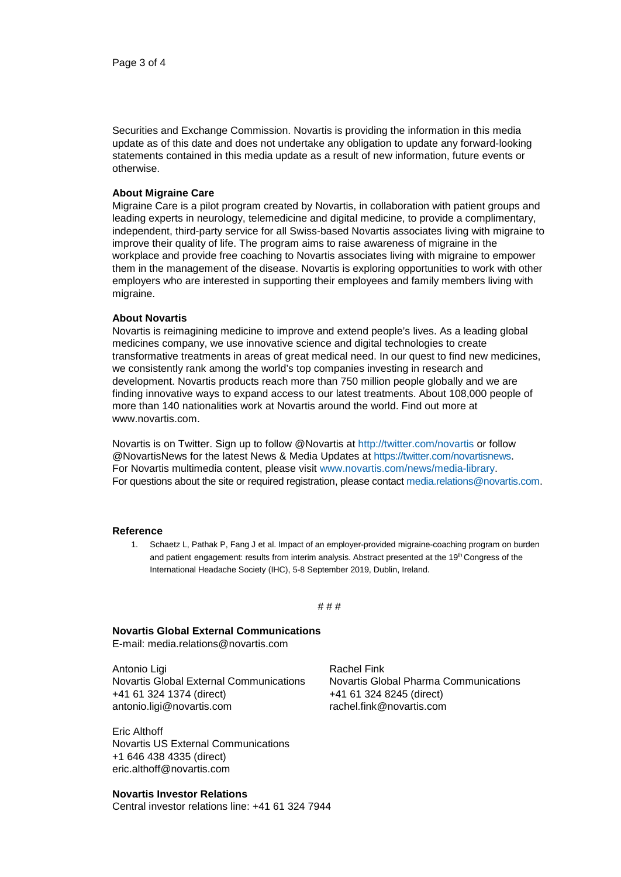Securities and Exchange Commission. Novartis is providing the information in this media update as of this date and does not undertake any obligation to update any forward-looking statements contained in this media update as a result of new information, future events or otherwise.

## **About Migraine Care**

Migraine Care is a pilot program created by Novartis, in collaboration with patient groups and leading experts in neurology, telemedicine and digital medicine, to provide a complimentary, independent, third-party service for all Swiss-based Novartis associates living with migraine to improve their quality of life. The program aims to raise awareness of migraine in the workplace and provide free coaching to Novartis associates living with migraine to empower them in the management of the disease. Novartis is exploring opportunities to work with other employers who are interested in supporting their employees and family members living with migraine.

#### **About Novartis**

Novartis is reimagining medicine to improve and extend people's lives. As a leading global medicines company, we use innovative science and digital technologies to create transformative treatments in areas of great medical need. In our quest to find new medicines, we consistently rank among the world's top companies investing in research and development. Novartis products reach more than 750 million people globally and we are finding innovative ways to expand access to our latest treatments. About 108,000 people of more than 140 nationalities work at Novartis around the world. Find out more at [www.novartis.com.](http://www.novartis.com/)

Novartis is on Twitter. Sign up to follow @Novartis at<http://twitter.com/novartis> or follow @NovartisNews for the latest News & Media Updates at [https://twitter.com/novartisnews.](https://twitter.com/novartisnews) For Novartis multimedia content, please visit [www.novartis.com/news/media-library.](http://www.novartis.com/news/media-library) For questions about the site or required registration, please contact [media.relations@novartis.com.](mailto:media.relations@novartis.com)

#### **Reference**

1. Schaetz L, Pathak P, Fang J et al. Impact of an employer-provided migraine-coaching program on burden and patient engagement: results from interim analysis. Abstract presented at the 19th Congress of the International Headache Society (IHC), 5-8 September 2019, Dublin, Ireland.

#### # # #

#### **Novartis Global External Communications**

E-mail: [media.relations@novartis.com](mailto:media.relations@novartis.com)

Antonio Ligi Novartis Global External Communications +41 61 324 1374 (direct) [antonio.ligi@novartis.com](mailto:antonio.ligi@novartis.com)

Eric Althoff Novartis US External Communications +1 646 438 4335 (direct) eric.althoff@novartis.com

## **Novartis Investor Relations**

Central investor relations line: +41 61 324 7944

Rachel Fink Novartis Global Pharma Communications +41 61 324 8245 (direct) [rachel.fink@novartis.com](mailto:rachel.fink@novartis.com)